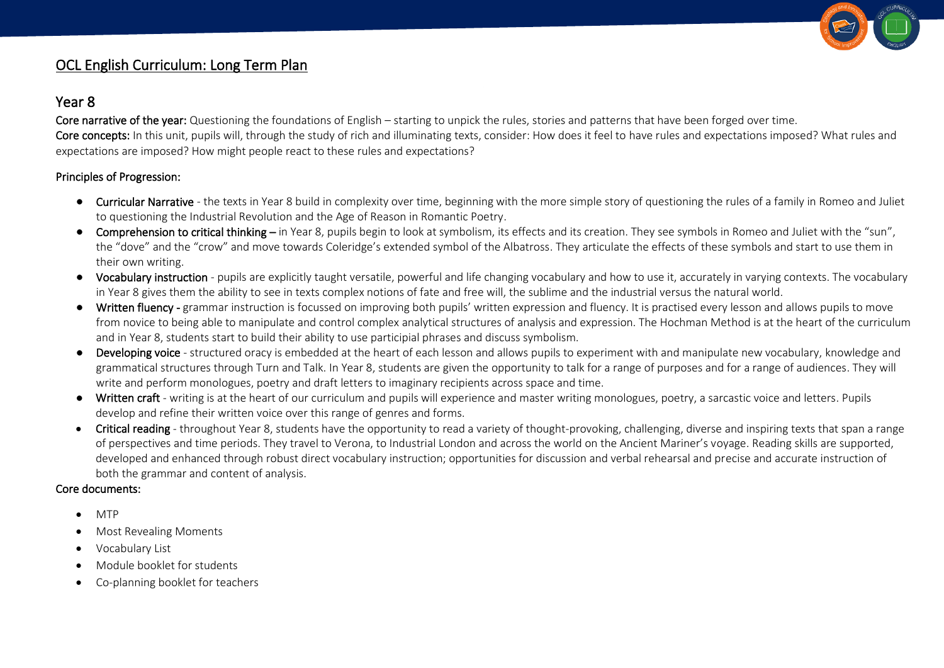

## OCL English Curriculum: Long Term Plan

## Year 8

Core narrative of the year: Questioning the foundations of English – starting to unpick the rules, stories and patterns that have been forged over time. Core concepts: In this unit, pupils will, through the study of rich and illuminating texts, consider: How does it feel to have rules and expectations imposed? What rules and expectations are imposed? How might people react to these rules and expectations?

## Principles of Progression:

- Curricular Narrative the texts in Year 8 build in complexity over time, beginning with the more simple story of questioning the rules of a family in Romeo and Juliet to questioning the Industrial Revolution and the Age of Reason in Romantic Poetry.
- Comprehension to critical thinking in Year 8, pupils begin to look at symbolism, its effects and its creation. They see symbols in Romeo and Juliet with the "sun", the "dove" and the "crow" and move towards Coleridge's extended symbol of the Albatross. They articulate the effects of these symbols and start to use them in their own writing.
- Vocabulary instruction pupils are explicitly taught versatile, powerful and life changing vocabulary and how to use it, accurately in varying contexts. The vocabulary in Year 8 gives them the ability to see in texts complex notions of fate and free will, the sublime and the industrial versus the natural world.
- Written fluency grammar instruction is focussed on improving both pupils' written expression and fluency. It is practised every lesson and allows pupils to move from novice to being able to manipulate and control complex analytical structures of analysis and expression. The Hochman Method is at the heart of the curriculum and in Year 8, students start to build their ability to use participial phrases and discuss symbolism.
- Developing voice structured oracy is embedded at the heart of each lesson and allows pupils to experiment with and manipulate new vocabulary, knowledge and grammatical structures through Turn and Talk. In Year 8, students are given the opportunity to talk for a range of purposes and for a range of audiences. They will write and perform monologues, poetry and draft letters to imaginary recipients across space and time.
- Written craft writing is at the heart of our curriculum and pupils will experience and master writing monologues, poetry, a sarcastic voice and letters. Pupils develop and refine their written voice over this range of genres and forms.
- Critical reading throughout Year 8, students have the opportunity to read a variety of thought-provoking, challenging, diverse and inspiring texts that span a range of perspectives and time periods. They travel to Verona, to Industrial London and across the world on the Ancient Mariner's voyage. Reading skills are supported, developed and enhanced through robust direct vocabulary instruction; opportunities for discussion and verbal rehearsal and precise and accurate instruction of both the grammar and content of analysis.

## Core documents:

- MTP
- Most Revealing Moments
- Vocabulary List
- Module booklet for students
- Co-planning booklet for teachers